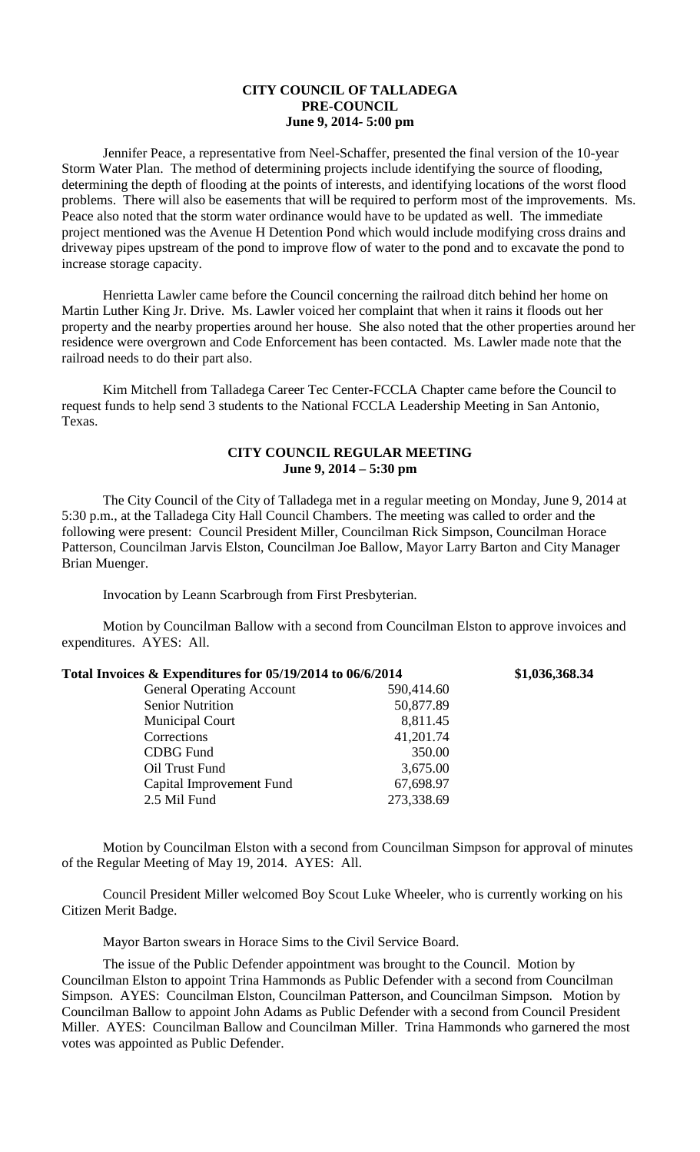## **CITY COUNCIL OF TALLADEGA PRE-COUNCIL June 9, 2014- 5:00 pm**

Jennifer Peace, a representative from Neel-Schaffer, presented the final version of the 10-year Storm Water Plan. The method of determining projects include identifying the source of flooding, determining the depth of flooding at the points of interests, and identifying locations of the worst flood problems. There will also be easements that will be required to perform most of the improvements. Ms. Peace also noted that the storm water ordinance would have to be updated as well. The immediate project mentioned was the Avenue H Detention Pond which would include modifying cross drains and driveway pipes upstream of the pond to improve flow of water to the pond and to excavate the pond to increase storage capacity.

Henrietta Lawler came before the Council concerning the railroad ditch behind her home on Martin Luther King Jr. Drive. Ms. Lawler voiced her complaint that when it rains it floods out her property and the nearby properties around her house. She also noted that the other properties around her residence were overgrown and Code Enforcement has been contacted. Ms. Lawler made note that the railroad needs to do their part also.

Kim Mitchell from Talladega Career Tec Center-FCCLA Chapter came before the Council to request funds to help send 3 students to the National FCCLA Leadership Meeting in San Antonio, Texas.

## **CITY COUNCIL REGULAR MEETING June 9, 2014 – 5:30 pm**

The City Council of the City of Talladega met in a regular meeting on Monday, June 9, 2014 at 5:30 p.m., at the Talladega City Hall Council Chambers. The meeting was called to order and the following were present: Council President Miller, Councilman Rick Simpson, Councilman Horace Patterson, Councilman Jarvis Elston, Councilman Joe Ballow, Mayor Larry Barton and City Manager Brian Muenger.

Invocation by Leann Scarbrough from First Presbyterian.

Motion by Councilman Ballow with a second from Councilman Elston to approve invoices and expenditures. AYES: All.

| Total Invoices & Expenditures for 05/19/2014 to 06/6/2014 |            | \$1,036,368.34 |
|-----------------------------------------------------------|------------|----------------|
| <b>General Operating Account</b>                          | 590,414.60 |                |
| <b>Senior Nutrition</b>                                   | 50,877.89  |                |
| <b>Municipal Court</b>                                    | 8,811.45   |                |
| Corrections                                               | 41,201.74  |                |
| <b>CDBG</b> Fund                                          | 350.00     |                |
| Oil Trust Fund                                            | 3,675.00   |                |
| Capital Improvement Fund                                  | 67,698.97  |                |
| 2.5 Mil Fund                                              | 273,338.69 |                |
|                                                           |            |                |

Motion by Councilman Elston with a second from Councilman Simpson for approval of minutes of the Regular Meeting of May 19, 2014. AYES: All.

Council President Miller welcomed Boy Scout Luke Wheeler, who is currently working on his Citizen Merit Badge.

Mayor Barton swears in Horace Sims to the Civil Service Board.

The issue of the Public Defender appointment was brought to the Council. Motion by Councilman Elston to appoint Trina Hammonds as Public Defender with a second from Councilman Simpson. AYES: Councilman Elston, Councilman Patterson, and Councilman Simpson. Motion by Councilman Ballow to appoint John Adams as Public Defender with a second from Council President Miller. AYES: Councilman Ballow and Councilman Miller. Trina Hammonds who garnered the most votes was appointed as Public Defender.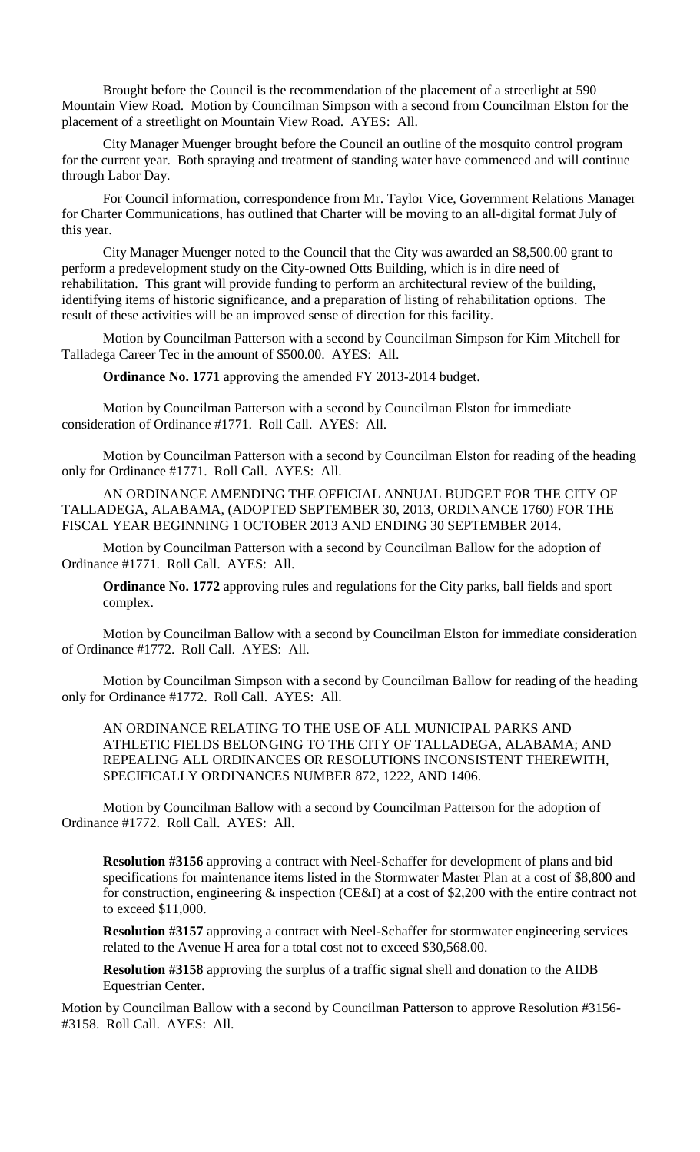Brought before the Council is the recommendation of the placement of a streetlight at 590 Mountain View Road. Motion by Councilman Simpson with a second from Councilman Elston for the placement of a streetlight on Mountain View Road. AYES: All.

City Manager Muenger brought before the Council an outline of the mosquito control program for the current year. Both spraying and treatment of standing water have commenced and will continue through Labor Day.

For Council information, correspondence from Mr. Taylor Vice, Government Relations Manager for Charter Communications, has outlined that Charter will be moving to an all-digital format July of this year.

City Manager Muenger noted to the Council that the City was awarded an \$8,500.00 grant to perform a predevelopment study on the City-owned Otts Building, which is in dire need of rehabilitation. This grant will provide funding to perform an architectural review of the building, identifying items of historic significance, and a preparation of listing of rehabilitation options. The result of these activities will be an improved sense of direction for this facility.

Motion by Councilman Patterson with a second by Councilman Simpson for Kim Mitchell for Talladega Career Tec in the amount of \$500.00. AYES: All.

**Ordinance No. 1771** approving the amended FY 2013-2014 budget.

Motion by Councilman Patterson with a second by Councilman Elston for immediate consideration of Ordinance #1771. Roll Call. AYES: All.

Motion by Councilman Patterson with a second by Councilman Elston for reading of the heading only for Ordinance #1771. Roll Call. AYES: All.

AN ORDINANCE AMENDING THE OFFICIAL ANNUAL BUDGET FOR THE CITY OF TALLADEGA, ALABAMA, (ADOPTED SEPTEMBER 30, 2013, ORDINANCE 1760) FOR THE FISCAL YEAR BEGINNING 1 OCTOBER 2013 AND ENDING 30 SEPTEMBER 2014.

Motion by Councilman Patterson with a second by Councilman Ballow for the adoption of Ordinance #1771. Roll Call. AYES: All.

**Ordinance No. 1772** approving rules and regulations for the City parks, ball fields and sport complex.

Motion by Councilman Ballow with a second by Councilman Elston for immediate consideration of Ordinance #1772. Roll Call. AYES: All.

Motion by Councilman Simpson with a second by Councilman Ballow for reading of the heading only for Ordinance #1772. Roll Call. AYES: All.

AN ORDINANCE RELATING TO THE USE OF ALL MUNICIPAL PARKS AND ATHLETIC FIELDS BELONGING TO THE CITY OF TALLADEGA, ALABAMA; AND REPEALING ALL ORDINANCES OR RESOLUTIONS INCONSISTENT THEREWITH, SPECIFICALLY ORDINANCES NUMBER 872, 1222, AND 1406.

Motion by Councilman Ballow with a second by Councilman Patterson for the adoption of Ordinance #1772. Roll Call. AYES: All.

**Resolution #3156** approving a contract with Neel-Schaffer for development of plans and bid specifications for maintenance items listed in the Stormwater Master Plan at a cost of \$8,800 and for construction, engineering & inspection (CE&I) at a cost of \$2,200 with the entire contract not to exceed \$11,000.

**Resolution #3157** approving a contract with Neel-Schaffer for stormwater engineering services related to the Avenue H area for a total cost not to exceed \$30,568.00.

**Resolution #3158** approving the surplus of a traffic signal shell and donation to the AIDB Equestrian Center.

Motion by Councilman Ballow with a second by Councilman Patterson to approve Resolution #3156- #3158. Roll Call. AYES: All.